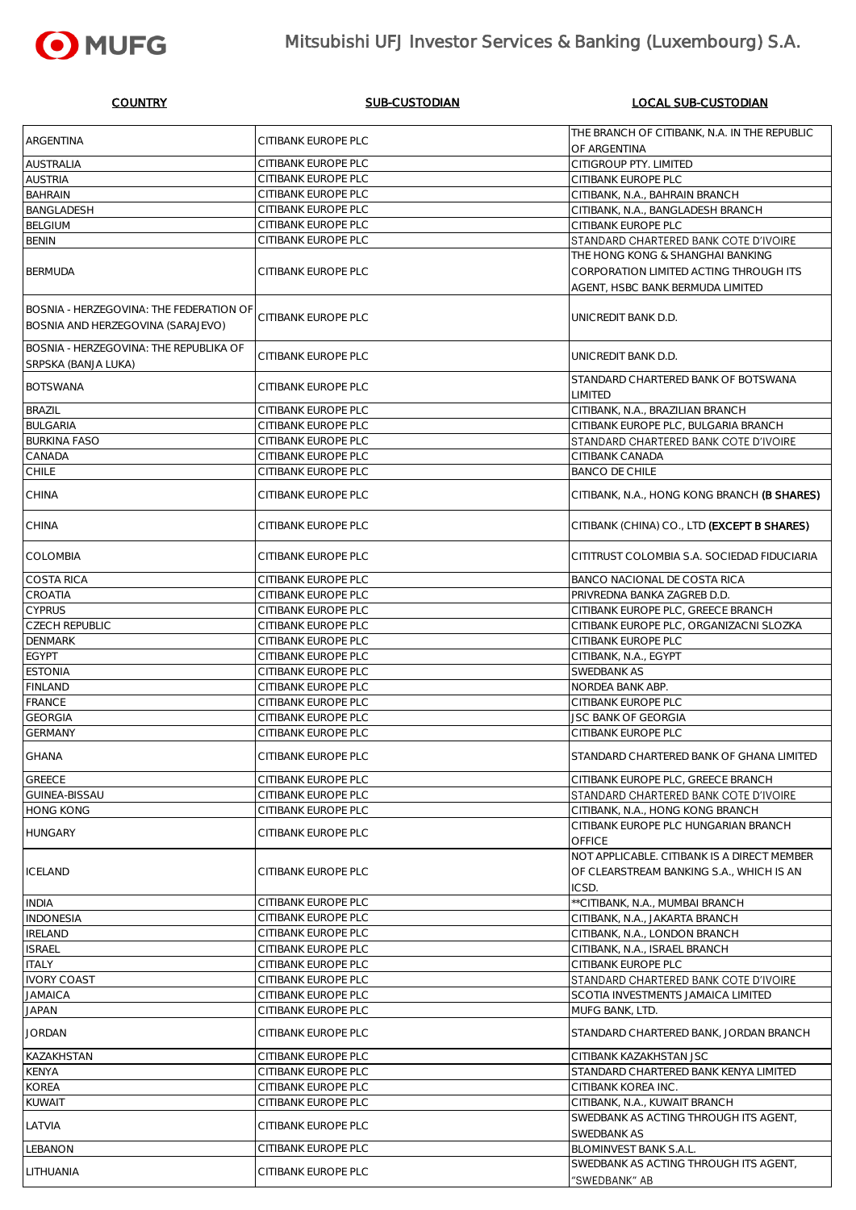#### COUNTRY SUB-CUSTODIAN LOCAL SUB-CUSTODIAN

|                                                |                            | THE BRANCH OF CITIBANK, N.A. IN THE REPUBLIC |
|------------------------------------------------|----------------------------|----------------------------------------------|
| <b>ARGENTINA</b>                               | CITIBANK EUROPE PLC        | OF ARGENTINA                                 |
| <b>AUSTRALIA</b>                               | CITIBANK EUROPE PLC        | CITIGROUP PTY. LIMITED                       |
|                                                |                            |                                              |
| <b>AUSTRIA</b>                                 | CITIBANK EUROPE PLC        | CITIBANK EUROPE PLC                          |
| <b>BAHRAIN</b>                                 | CITIBANK EUROPE PLC        | CITIBANK, N.A., BAHRAIN BRANCH               |
| <b>BANGLADESH</b>                              | CITIBANK EUROPE PLC        | CITIBANK, N.A., BANGLADESH BRANCH            |
| <b>BELGIUM</b>                                 | CITIBANK EUROPE PLC        | CITIBANK EUROPE PLC                          |
| <b>BENIN</b>                                   | CITIBANK EUROPE PLC        | STANDARD CHARTERED BANK COTE D'IVOIRE        |
|                                                |                            | THE HONG KONG & SHANGHAI BANKING             |
| <b>BERMUDA</b>                                 | <b>CITIBANK EUROPE PLC</b> | CORPORATION LIMITED ACTING THROUGH ITS       |
|                                                |                            |                                              |
|                                                |                            | AGENT, HSBC BANK BERMUDA LIMITED             |
| <b>BOSNIA - HERZEGOVINA: THE FEDERATION OF</b> |                            |                                              |
| <b>BOSNIA AND HERZEGOVINA (SARAJEVO)</b>       | CITIBANK EUROPE PLC        | UNICREDIT BANK D.D.                          |
|                                                |                            |                                              |
| <b>BOSNIA - HERZEGOVINA: THE REPUBLIKA OF</b>  |                            |                                              |
| <b>SRPSKA (BANJA LUKA)</b>                     | <b>CITIBANK EUROPE PLC</b> | UNICREDIT BANK D.D.                          |
|                                                |                            | STANDARD CHARTERED BANK OF BOTSWANA          |
| <b>BOTSWANA</b>                                | CITIBANK EUROPE PLC        | <b>LIMITED</b>                               |
| <b>BRAZIL</b>                                  | CITIBANK EUROPE PLC        |                                              |
|                                                |                            | CITIBANK, N.A., BRAZILIAN BRANCH             |
| <b>BULGARIA</b>                                | CITIBANK EUROPE PLC        | CITIBANK EUROPE PLC, BULGARIA BRANCH         |
| <b>BURKINA FASO</b>                            | CITIBANK EUROPE PLC        | STANDARD CHARTERED BANK COTE D'IVOIRE        |
| CANADA                                         | CITIBANK EUROPE PLC        | <b>CITIBANK CANADA</b>                       |
| <b>CHILE</b>                                   | CITIBANK EUROPE PLC        | <b>BANCO DE CHILE</b>                        |
|                                                |                            |                                              |
| <b>CHINA</b>                                   | <b>CITIBANK EUROPE PLC</b> | CITIBANK, N.A., HONG KONG BRANCH (B SHARES)  |
|                                                |                            |                                              |
| <b>CHINA</b>                                   | CITIBANK EUROPE PLC        | CITIBANK (CHINA) CO., LTD (EXCEPT B SHARES)  |
|                                                |                            |                                              |
| <b>COLOMBIA</b>                                | CITIBANK EUROPE PLC        | CITITRUST COLOMBIA S.A. SOCIEDAD FIDUCIARIA  |
|                                                |                            |                                              |
| <b>COSTA RICA</b>                              | CITIBANK EUROPE PLC        | <b>BANCO NACIONAL DE COSTA RICA</b>          |
| <b>CROATIA</b>                                 | CITIBANK EUROPE PLC        | PRIVREDNA BANKA ZAGREB D.D.                  |
| <b>CYPRUS</b>                                  | CITIBANK EUROPE PLC        | CITIBANK EUROPE PLC, GREECE BRANCH           |
|                                                |                            |                                              |
| <b>CZECH REPUBLIC</b>                          | CITIBANK EUROPE PLC        | CITIBANK EUROPE PLC, ORGANIZACNI SLOZKA      |
| <b>DENMARK</b>                                 | CITIBANK EUROPE PLC        | <b>CITIBANK EUROPE PLC</b>                   |
| <b>EGYPT</b>                                   | CITIBANK EUROPE PLC        | CITIBANK, N.A., EGYPT                        |
| <b>ESTONIA</b>                                 | CITIBANK EUROPE PLC        | SWEDBANK AS                                  |
| <b>FINLAND</b>                                 | CITIBANK EUROPE PLC        | NORDEA BANK ABP.                             |
| FRANCE                                         | CITIBANK EUROPE PLC        | <b>CITIBANK EUROPE PLC</b>                   |
|                                                |                            |                                              |
| <b>GEORGIA</b>                                 | CITIBANK EUROPE PLC        | <b>JSC BANK OF GEORGIA</b>                   |
| <b>GERMANY</b>                                 | CITIBANK EUROPE PLC        | CITIBANK EUROPE PLC                          |
| <b>GHANA</b>                                   | CITIBANK EUROPE PLC        | STANDARD CHARTERED BANK OF GHANA LIMITED     |
|                                                |                            |                                              |
| <b>GREECE</b>                                  | CITIBANK EUROPE PLC        | CITIBANK EUROPE PLC, GREECE BRANCH           |
| <b>GUINEA-BISSAU</b>                           | CITIBANK EUROPE PLC        | STANDARD CHARTERED BANK COTE D'IVOIRE        |
| <b>HONG KONG</b>                               | CITIBANK EUROPE PLC        | CITIBANK, N.A., HONG KONG BRANCH             |
|                                                |                            | CITIBANK EUROPE PLC HUNGARIAN BRANCH         |
| <b>HUNGARY</b>                                 | CITIBANK EUROPE PLC        |                                              |
|                                                |                            | <b>OFFICE</b>                                |
|                                                | CITIBANK EUROPE PLC        | NOT APPLICABLE. CITIBANK IS A DIRECT MEMBER  |
| <b>ICELAND</b>                                 |                            | OF CLEARSTREAM BANKING S.A., WHICH IS AN     |
|                                                |                            | ICSD.                                        |
| <b>INDIA</b>                                   | CITIBANK EUROPE PLC        | ** CITIBANK, N.A., MUMBAI BRANCH             |
| <b>INDONESIA</b>                               | CITIBANK EUROPE PLC        | CITIBANK, N.A., JAKARTA BRANCH               |
| <b>IRELAND</b>                                 | CITIBANK EUROPE PLC        | CITIBANK, N.A., LONDON BRANCH                |
|                                                |                            |                                              |
| <b>ISRAEL</b>                                  | CITIBANK EUROPE PLC        | CITIBANK, N.A., ISRAEL BRANCH                |
| <b>ITALY</b>                                   | CITIBANK EUROPE PLC        | CITIBANK EUROPE PLC                          |
| <b>IVORY COAST</b>                             | CITIBANK EUROPE PLC        | STANDARD CHARTERED BANK COTE D'IVOIRE        |
| <b>JAMAICA</b>                                 | CITIBANK EUROPE PLC        | <b>SCOTIA INVESTMENTS JAMAICA LIMITED</b>    |
| <b>JAPAN</b>                                   | CITIBANK EUROPE PLC        | MUFG BANK, LTD.                              |
|                                                |                            |                                              |
| <b>JORDAN</b>                                  | <b>CITIBANK EUROPE PLC</b> | STANDARD CHARTERED BANK, JORDAN BRANCH       |
| <b>KAZAKHSTAN</b>                              | CITIBANK EUROPE PLC        | <b>CITIBANK KAZAKHSTAN JSC</b>               |
|                                                |                            |                                              |
| <b>KENYA</b>                                   | CITIBANK EUROPE PLC        | STANDARD CHARTERED BANK KENYA LIMITED        |
| <b>KOREA</b>                                   | CITIBANK EUROPE PLC        | CITIBANK KOREA INC.                          |
| <b>KUWAIT</b>                                  | CITIBANK EUROPE PLC        | CITIBANK, N.A., KUWAIT BRANCH                |
|                                                |                            | SWEDBANK AS ACTING THROUGH ITS AGENT,        |
| LATVIA                                         | CITIBANK EUROPE PLC        | <b>SWEDBANK AS</b>                           |
| <b>LEBANON</b>                                 | CITIBANK EUROPE PLC        | <b>BLOMINVEST BANK S.A.L.</b>                |
|                                                |                            | SWEDBANK AS ACTING THROUGH ITS AGENT,        |
| LITHUANIA                                      | CITIBANK EUROPE PLC        |                                              |
|                                                |                            | "SWEDBANK" AB                                |



## Mitsubishi UFJ Investor Services & Banking (Luxembourg) S.A.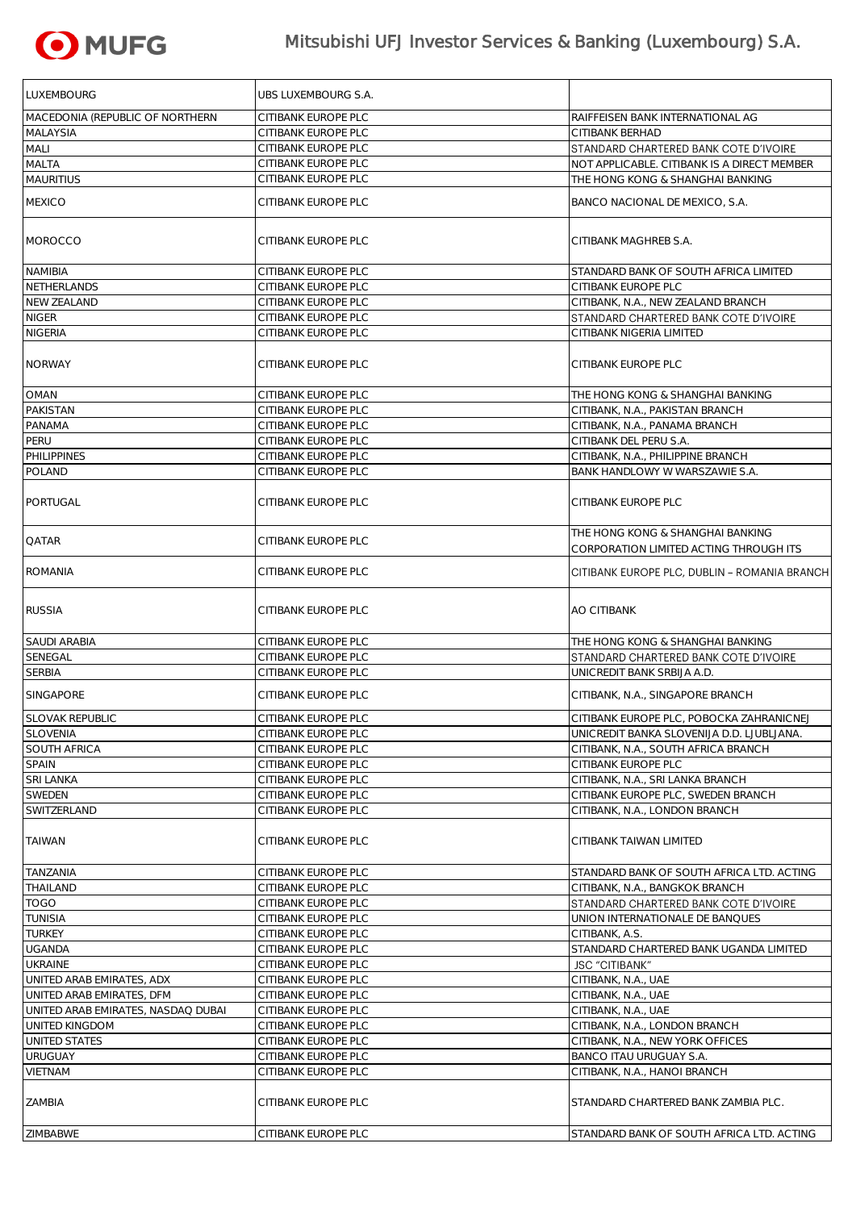

# Mitsubishi UFJ Investor Services & Banking (Luxembourg) S.A.

| LUXEMBOURG                         | UBS LUXEMBOURG S.A. |                                                                            |
|------------------------------------|---------------------|----------------------------------------------------------------------------|
| MACEDONIA (REPUBLIC OF NORTHERN    | CITIBANK EUROPE PLC | RAIFFEISEN BANK INTERNATIONAL AG                                           |
| <b>MALAYSIA</b>                    | CITIBANK EUROPE PLC | <b>CITIBANK BERHAD</b>                                                     |
| <b>MALI</b>                        | CITIBANK EUROPE PLC | STANDARD CHARTERED BANK COTE D'IVOIRE                                      |
| <b>MALTA</b>                       | CITIBANK EUROPE PLC | NOT APPLICABLE. CITIBANK IS A DIRECT MEMBER                                |
| <b>MAURITIUS</b>                   | CITIBANK EUROPE PLC | THE HONG KONG & SHANGHAI BANKING                                           |
|                                    |                     |                                                                            |
| <b>MEXICO</b>                      | CITIBANK EUROPE PLC | BANCO NACIONAL DE MEXICO, S.A.                                             |
| <b>MOROCCO</b>                     | CITIBANK EUROPE PLC | CITIBANK MAGHREB S.A.                                                      |
| <b>NAMIBIA</b>                     | CITIBANK EUROPE PLC | STANDARD BANK OF SOUTH AFRICA LIMITED                                      |
| NETHERLANDS                        | CITIBANK EUROPE PLC | CITIBANK EUROPE PLC                                                        |
| <b>NEW ZEALAND</b>                 | CITIBANK EUROPE PLC | CITIBANK, N.A., NEW ZEALAND BRANCH                                         |
| <b>NIGER</b>                       | CITIBANK EUROPE PLC | STANDARD CHARTERED BANK COTE D'IVOIRE                                      |
| <b>NIGERIA</b>                     | CITIBANK EUROPE PLC | CITIBANK NIGERIA LIMITED                                                   |
|                                    |                     |                                                                            |
| <b>NORWAY</b>                      | CITIBANK EUROPE PLC | <b>CITIBANK EUROPE PLC</b>                                                 |
| <b>OMAN</b>                        | CITIBANK EUROPE PLC | THE HONG KONG & SHANGHAI BANKING                                           |
| <b>PAKISTAN</b>                    | CITIBANK EUROPE PLC | CITIBANK, N.A., PAKISTAN BRANCH                                            |
| <b>PANAMA</b>                      | CITIBANK EUROPE PLC | CITIBANK, N.A., PANAMA BRANCH                                              |
| PERU                               | CITIBANK EUROPE PLC | CITIBANK DEL PERU S.A.                                                     |
| PHILIPPINES                        | CITIBANK EUROPE PLC | CITIBANK, N.A., PHILIPPINE BRANCH                                          |
| POLAND                             | CITIBANK EUROPE PLC | <b>BANK HANDLOWY W WARSZAWIE S.A.</b>                                      |
| PORTUGAL                           | CITIBANK EUROPE PLC | CITIBANK EUROPE PLC                                                        |
| <b>QATAR</b>                       | CITIBANK EUROPE PLC | THE HONG KONG & SHANGHAI BANKING<br>CORPORATION LIMITED ACTING THROUGH ITS |
| <b>ROMANIA</b>                     | CITIBANK EUROPE PLC | CITIBANK EUROPE PLC, DUBLIN - ROMANIA BRANCH                               |
| <b>RUSSIA</b>                      | CITIBANK EUROPE PLC | <b>AO CITIBANK</b>                                                         |
| <b>SAUDI ARABIA</b>                | CITIBANK EUROPE PLC | THE HONG KONG & SHANGHAI BANKING                                           |
| SENEGAL                            | CITIBANK EUROPE PLC | STANDARD CHARTERED BANK COTE D'IVOIRE                                      |
| <b>SERBIA</b>                      | CITIBANK EUROPE PLC | UNICREDIT BANK SRBIJA A.D.                                                 |
| <b>SINGAPORE</b>                   | CITIBANK EUROPE PLC | CITIBANK, N.A., SINGAPORE BRANCH                                           |
| <b>SLOVAK REPUBLIC</b>             | CITIBANK EUROPE PLC | CITIBANK EUROPE PLC, POBOCKA ZAHRANICNEJ                                   |
| <b>SLOVENIA</b>                    | CITIBANK EUROPE PLC | UNICREDIT BANKA SLOVENIJA D.D. LJUBLJANA.                                  |
| <b>SOUTH AFRICA</b>                | CITIBANK EUROPE PLC | CITIBANK, N.A., SOUTH AFRICA BRANCH                                        |
| <b>SPAIN</b>                       | CITIBANK EUROPE PLC | CITIBANK EUROPE PLC                                                        |
| <b>SRI LANKA</b>                   | CITIBANK EUROPE PLC | CITIBANK, N.A., SRI LANKA BRANCH                                           |
| SWEDEN                             | CITIBANK EUROPE PLC | CITIBANK EUROPE PLC, SWEDEN BRANCH                                         |
| SWITZERLAND                        | CITIBANK EUROPE PLC | CITIBANK, N.A., LONDON BRANCH                                              |
| <b>TAIWAN</b>                      | CITIBANK EUROPE PLC | <b>CITIBANK TAIWAN LIMITED</b>                                             |
| TANZANIA                           | CITIBANK EUROPE PLC | STANDARD BANK OF SOUTH AFRICA LTD. ACTING                                  |
| THAILAND                           | CITIBANK EUROPE PLC | CITIBANK, N.A., BANGKOK BRANCH                                             |
| <b>TOGO</b>                        | CITIBANK EUROPE PLC | STANDARD CHARTERED BANK COTE D'IVOIRE                                      |
| <b>TUNISIA</b>                     | CITIBANK EUROPE PLC | UNION INTERNATIONALE DE BANQUES                                            |
| <b>TURKEY</b>                      | CITIBANK EUROPE PLC | CITIBANK, A.S.                                                             |
| <b>UGANDA</b>                      | CITIBANK EUROPE PLC | STANDARD CHARTERED BANK UGANDA LIMITED                                     |
| <b>UKRAINE</b>                     | CITIBANK EUROPE PLC | <b>JSC "CITIBANK"</b>                                                      |
|                                    | CITIBANK EUROPE PLC |                                                                            |
| UNITED ARAB EMIRATES, ADX          | CITIBANK EUROPE PLC | CITIBANK, N.A., UAE                                                        |
| UNITED ARAB EMIRATES, DFM          |                     | CITIBANK, N.A., UAE                                                        |
| UNITED ARAB EMIRATES, NASDAQ DUBAI | CITIBANK EUROPE PLC | CITIBANK, N.A., UAE                                                        |
| UNITED KINGDOM                     | CITIBANK EUROPE PLC | CITIBANK, N.A., LONDON BRANCH                                              |
| UNITED STATES                      | CITIBANK EUROPE PLC | CITIBANK, N.A., NEW YORK OFFICES                                           |
| <b>URUGUAY</b>                     | CITIBANK EUROPE PLC | <b>BANCO ITAU URUGUAY S.A.</b>                                             |
| <b>VIETNAM</b>                     | CITIBANK EUROPE PLC | CITIBANK, N.A., HANOI BRANCH                                               |
| ZAMBIA                             | CITIBANK EUROPE PLC | STANDARD CHARTERED BANK ZAMBIA PLC.                                        |
| ZIMBABWE                           | CITIBANK EUROPE PLC | STANDARD BANK OF SOUTH AFRICA LTD. ACTING                                  |